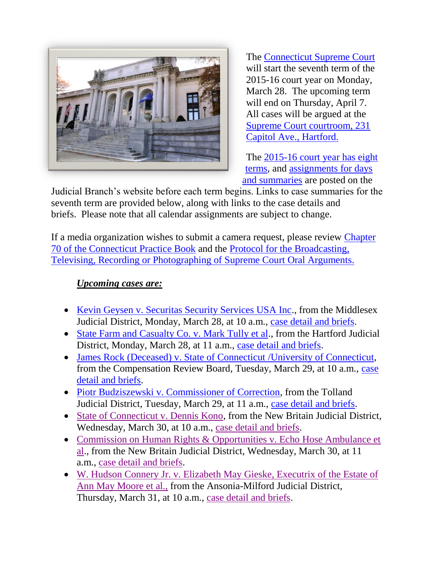

The [Connecticut Supreme Court](http://www.jud.ct.gov/external/supapp/default.htm) will start the seventh term of the 2015-16 court year on Monday, March 28. The upcoming term will end on Thursday, April 7. All cases will be argued at the [Supreme Court courtroom, 231](http://www.jud.ct.gov/directory/directory/directions/supremecourt.htm)  [Capitol Ave., Hartford.](http://www.jud.ct.gov/directory/directory/directions/supremecourt.htm)

The [2015-16 court year has eight](http://www.jud.ct.gov/external/supapp/CourtTermSup.htm)  [terms,](http://www.jud.ct.gov/external/supapp/CourtTermSup.htm) and [assignments for days](http://www.jud.ct.gov/external/supapp/sup_assign.htm)  [and summaries](http://www.jud.ct.gov/external/supapp/sup_assign.htm) are posted on the

Judicial Branch's website before each term begins. Links to case summaries for the seventh term are provided below, along with links to the case details and briefs. Please note that all calendar assignments are subject to change.

If a media organization wishes to submit a camera request, please review [Chapter](http://www.jud.ct.gov/pb.htm)  [70 of the Connecticut Practice Book](http://www.jud.ct.gov/pb.htm) and the [Protocol for the Broadcasting,](http://www.jud.ct.gov/external/supapp/protocol_sup_oral_argu.htm)  [Televising, Recording or Photographing of Supreme Court Oral Arguments.](http://www.jud.ct.gov/external/supapp/protocol_sup_oral_argu.htm)

## *Upcoming cases are:*

- [Kevin Geysen v. Securitas Security Services USA Inc.](http://www.jud.ct.gov/external/supapp/Summaries/Docket/19545.htm), from the Middlesex Judicial District, Monday, March 28, at 10 a.m., [case detail and briefs.](http://appellateinquiry.jud.ct.gov/CaseDetail.aspx?CRN=52428&Type=AppealNo)
- [State Farm and Casualty Co. v. Mark Tully et al.](http://www.jud.ct.gov/external/supapp/Summaries/Docket/19600.htm), from the Hartford Judicial District, Monday, March 28, at 11 a.m., [case detail and briefs.](http://appellateinquiry.jud.ct.gov/CaseDetail.aspx?CRN=52889&Type=AppealNo)
- [James Rock \(Deceased\) v. State of Connecticut /University of Connecticut,](http://www.jud.ct.gov/external/supapp/Summaries/Docket/19465.htm) from the Compensation Review Board, Tuesday, March 29, at 10 a.m., [case](http://appellateinquiry.jud.ct.gov/CaseDetail.aspx?CRN=51465&Type=AppealNo)  [detail and briefs.](http://appellateinquiry.jud.ct.gov/CaseDetail.aspx?CRN=51465&Type=AppealNo)
- [Piotr Budziszewski v. Commissioner of Correction,](http://www.jud.ct.gov/external/supapp/Summaries/Docket/19599.htm) from the Tolland Judicial District, Tuesday, March 29, at 11 a.m., [case detail and briefs.](http://appellateinquiry.jud.ct.gov/CaseDetail.aspx?CRN=52888&Type=AppealNo)
- [State of Connecticut v. Dennis Kono,](http://www.jud.ct.gov/external/supapp/Summaries/Docket/19613.htm) from the New Britain Judicial District, Wednesday, March 30, at 10 a.m., [case detail and briefs.](http://appellateinquiry.jud.ct.gov/CaseDetail.aspx?CRN=53015&Type=AppealNo)
- Commission on Human Rights & Opportunities v. Echo Hose Ambulance et [al.](http://www.jud.ct.gov/external/supapp/Summaries/Docket/19496.htm), from the New Britain Judicial District, Wednesday, March 30, at 11 a.m., [case detail and briefs.](http://appellateinquiry.jud.ct.gov/CaseDetail.aspx?CRN=51881&Type=AppealNo)
- [W. Hudson Connery Jr. v. Elizabeth May](http://www.jud.ct.gov/external/supapp/Summaries/Docket/19563.htm) Gieske, Executrix of the Estate of [Ann May Moore et al.,](http://www.jud.ct.gov/external/supapp/Summaries/Docket/19563.htm) from the Ansonia-Milford Judicial District, Thursday, March 31, at 10 a.m., [case detail and briefs.](http://appellateinquiry.jud.ct.gov/CaseDetail.aspx?CRN=52577&Type=AppealNo)